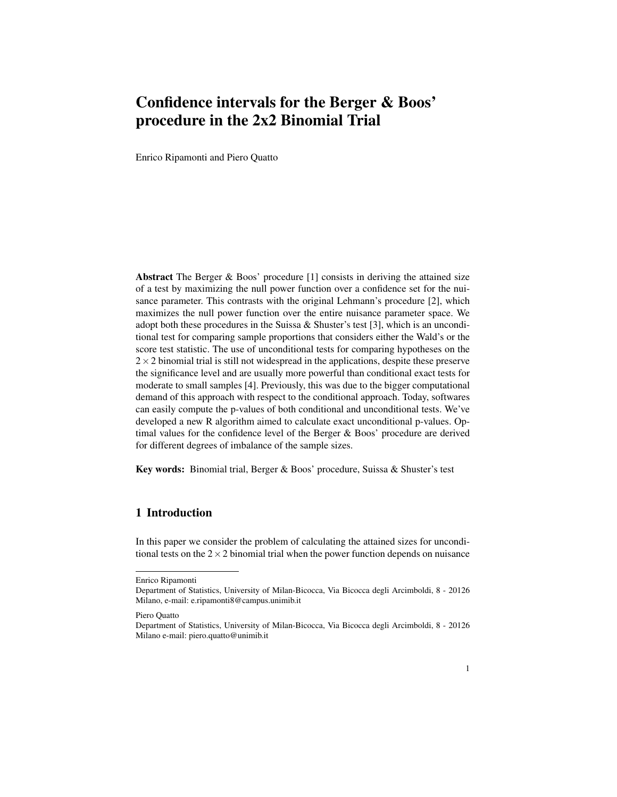# Confidence intervals for the Berger & Boos' procedure in the 2x2 Binomial Trial

Enrico Ripamonti and Piero Quatto

Abstract The Berger & Boos' procedure [1] consists in deriving the attained size of a test by maximizing the null power function over a confidence set for the nuisance parameter. This contrasts with the original Lehmann's procedure [2], which maximizes the null power function over the entire nuisance parameter space. We adopt both these procedures in the Suissa & Shuster's test [3], which is an unconditional test for comparing sample proportions that considers either the Wald's or the score test statistic. The use of unconditional tests for comparing hypotheses on the  $2 \times 2$  binomial trial is still not widespread in the applications, despite these preserve the significance level and are usually more powerful than conditional exact tests for moderate to small samples [4]. Previously, this was due to the bigger computational demand of this approach with respect to the conditional approach. Today, softwares can easily compute the p-values of both conditional and unconditional tests. We've developed a new R algorithm aimed to calculate exact unconditional p-values. Optimal values for the confidence level of the Berger & Boos' procedure are derived for different degrees of imbalance of the sample sizes.

Key words: Binomial trial, Berger & Boos' procedure, Suissa & Shuster's test

## 1 Introduction

In this paper we consider the problem of calculating the attained sizes for unconditional tests on the  $2 \times 2$  binomial trial when the power function depends on nuisance

Enrico Ripamonti

Department of Statistics, University of Milan-Bicocca, Via Bicocca degli Arcimboldi, 8 - 20126 Milano, e-mail: e.ripamonti8@campus.unimib.it

Piero Quatto

Department of Statistics, University of Milan-Bicocca, Via Bicocca degli Arcimboldi, 8 - 20126 Milano e-mail: piero.quatto@unimib.it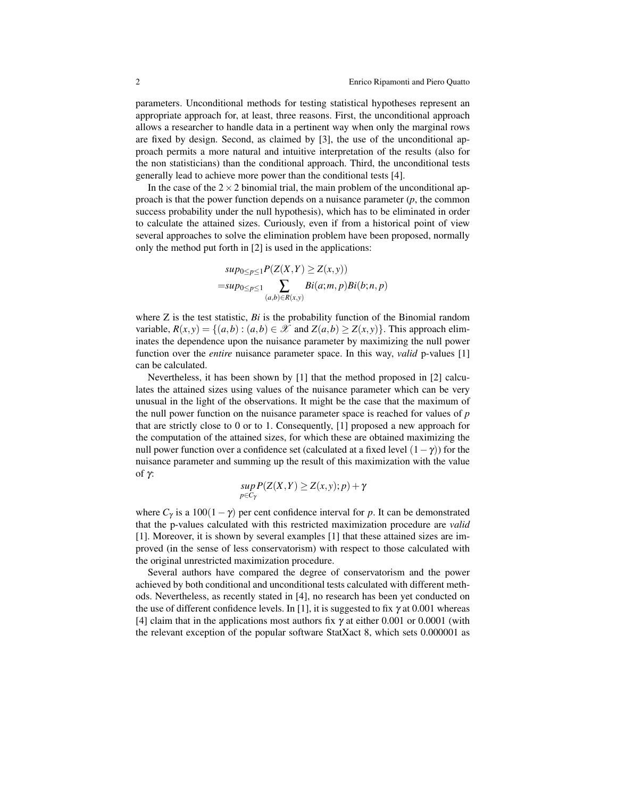parameters. Unconditional methods for testing statistical hypotheses represent an appropriate approach for, at least, three reasons. First, the unconditional approach allows a researcher to handle data in a pertinent way when only the marginal rows are fixed by design. Second, as claimed by [3], the use of the unconditional approach permits a more natural and intuitive interpretation of the results (also for the non statisticians) than the conditional approach. Third, the unconditional tests generally lead to achieve more power than the conditional tests [4].

In the case of the  $2 \times 2$  binomial trial, the main problem of the unconditional approach is that the power function depends on a nuisance parameter (*p*, the common success probability under the null hypothesis), which has to be eliminated in order to calculate the attained sizes. Curiously, even if from a historical point of view several approaches to solve the elimination problem have been proposed, normally only the method put forth in [2] is used in the applications:

$$
sup_{0\leq p\leq 1}P(Z(X,Y)\geq Z(x,y))
$$
  
=sup<sub>0\leq p\leq 1</sub>
$$
\sum_{(a,b)\in R(x,y)}Bi(a;m,p)Bi(b;n,p)
$$

where Z is the test statistic, *Bi* is the probability function of the Binomial random variable,  $R(x, y) = \{(a, b) : (a, b) \in \mathcal{X} \text{ and } Z(a, b) \geq Z(x, y)\}\.$  This approach eliminates the dependence upon the nuisance parameter by maximizing the null power function over the *entire* nuisance parameter space. In this way, *valid* p-values [1] can be calculated.

Nevertheless, it has been shown by [1] that the method proposed in [2] calculates the attained sizes using values of the nuisance parameter which can be very unusual in the light of the observations. It might be the case that the maximum of the null power function on the nuisance parameter space is reached for values of *p* that are strictly close to 0 or to 1. Consequently, [1] proposed a new approach for the computation of the attained sizes, for which these are obtained maximizing the null power function over a confidence set (calculated at a fixed level  $(1-\gamma)$ ) for the nuisance parameter and summing up the result of this maximization with the value of γ:

$$
sup_{p\in C_{\gamma}}P(Z(X,Y)\geq Z(x,y);p)+\gamma
$$

where  $C_\gamma$  is a 100(1 –  $\gamma$ ) per cent confidence interval for *p*. It can be demonstrated that the p-values calculated with this restricted maximization procedure are *valid* [1]. Moreover, it is shown by several examples [1] that these attained sizes are improved (in the sense of less conservatorism) with respect to those calculated with the original unrestricted maximization procedure.

Several authors have compared the degree of conservatorism and the power achieved by both conditional and unconditional tests calculated with different methods. Nevertheless, as recently stated in [4], no research has been yet conducted on the use of different confidence levels. In [1], it is suggested to fix  $\gamma$  at 0.001 whereas [4] claim that in the applications most authors fix  $\gamma$  at either 0.001 or 0.0001 (with the relevant exception of the popular software StatXact 8, which sets 0.000001 as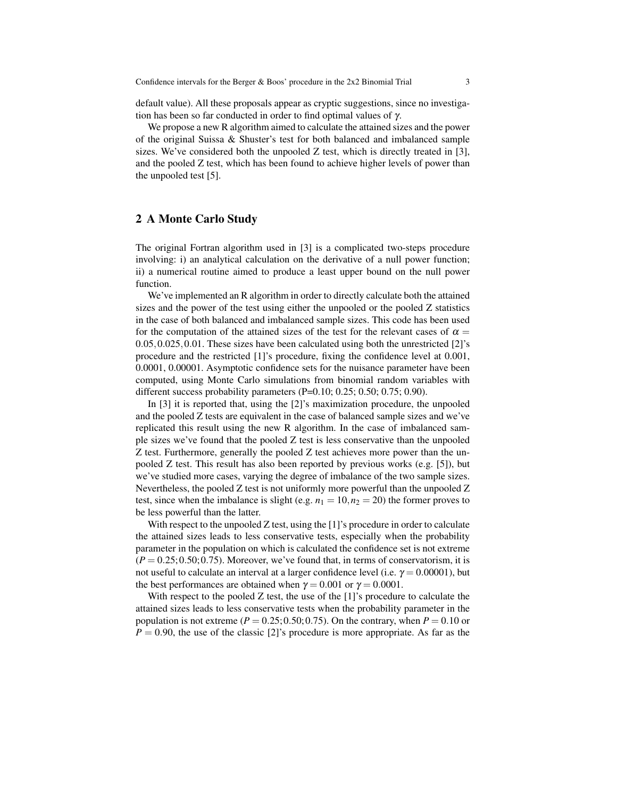default value). All these proposals appear as cryptic suggestions, since no investigation has been so far conducted in order to find optimal values of  $\gamma$ .

We propose a new R algorithm aimed to calculate the attained sizes and the power of the original Suissa & Shuster's test for both balanced and imbalanced sample sizes. We've considered both the unpooled  $Z$  test, which is directly treated in [3], and the pooled Z test, which has been found to achieve higher levels of power than the unpooled test [5].

## 2 A Monte Carlo Study

The original Fortran algorithm used in [3] is a complicated two-steps procedure involving: i) an analytical calculation on the derivative of a null power function; ii) a numerical routine aimed to produce a least upper bound on the null power function.

We've implemented an R algorithm in order to directly calculate both the attained sizes and the power of the test using either the unpooled or the pooled Z statistics in the case of both balanced and imbalanced sample sizes. This code has been used for the computation of the attained sizes of the test for the relevant cases of  $\alpha =$ 0.05,0.025,0.01. These sizes have been calculated using both the unrestricted [2]'s procedure and the restricted [1]'s procedure, fixing the confidence level at 0.001, 0.0001, 0.00001. Asymptotic confidence sets for the nuisance parameter have been computed, using Monte Carlo simulations from binomial random variables with different success probability parameters (P=0.10; 0.25; 0.50; 0.75; 0.90).

In [3] it is reported that, using the [2]'s maximization procedure, the unpooled and the pooled Z tests are equivalent in the case of balanced sample sizes and we've replicated this result using the new R algorithm. In the case of imbalanced sample sizes we've found that the pooled Z test is less conservative than the unpooled Z test. Furthermore, generally the pooled Z test achieves more power than the unpooled Z test. This result has also been reported by previous works (e.g. [5]), but we've studied more cases, varying the degree of imbalance of the two sample sizes. Nevertheless, the pooled Z test is not uniformly more powerful than the unpooled Z test, since when the imbalance is slight (e.g.  $n_1 = 10, n_2 = 20$ ) the former proves to be less powerful than the latter.

With respect to the unpooled Z test, using the [1]'s procedure in order to calculate the attained sizes leads to less conservative tests, especially when the probability parameter in the population on which is calculated the confidence set is not extreme  $(P = 0.25; 0.50; 0.75)$ . Moreover, we've found that, in terms of conservatorism, it is not useful to calculate an interval at a larger confidence level (i.e.  $\gamma = 0.00001$ ), but the best performances are obtained when  $\gamma = 0.001$  or  $\gamma = 0.0001$ .

With respect to the pooled  $Z$  test, the use of the  $[1]$ 's procedure to calculate the attained sizes leads to less conservative tests when the probability parameter in the population is not extreme ( $P = 0.25; 0.50; 0.75$ ). On the contrary, when  $P = 0.10$  or  $P = 0.90$ , the use of the classic [2]'s procedure is more appropriate. As far as the